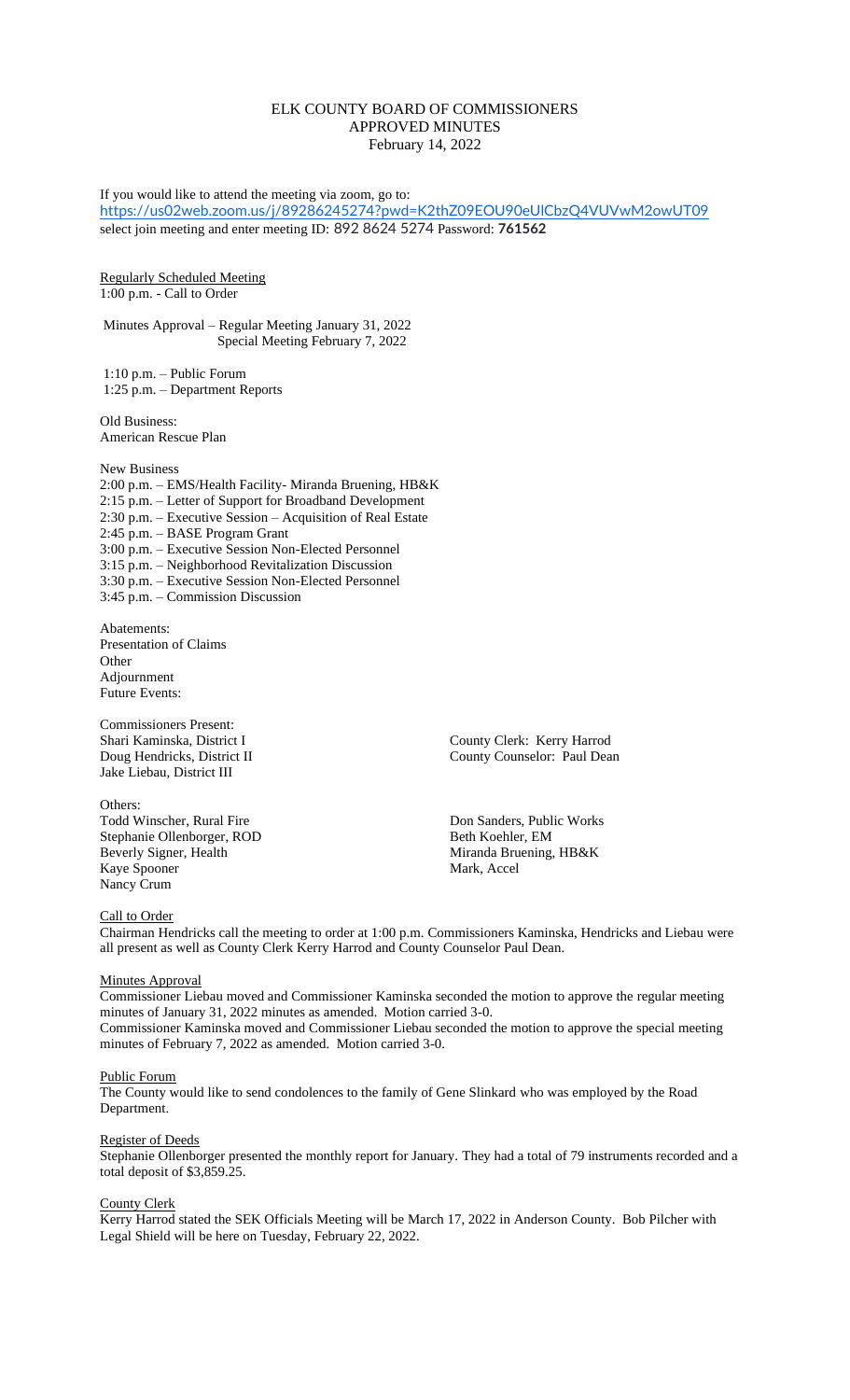# ELK COUNTY BOARD OF COMMISSIONERS APPROVED MINUTES February 14, 2022

If you would like to attend the meeting via zoom, go to: <https://us02web.zoom.us/j/89286245274?pwd=K2thZ09EOU90eUlCbzQ4VUVwM2owUT09> select join meeting and enter meeting ID: 892 8624 5274 Password: **761562** Regularly Scheduled Meeting 1:00 p.m. - Call to Order Minutes Approval – Regular Meeting January 31, 2022 Special Meeting February 7, 2022 1:10 p.m. – Public Forum 1:25 p.m. – Department Reports Old Business: American Rescue Plan New Business 2:00 p.m. – EMS/Health Facility- Miranda Bruening, HB&K 2:15 p.m. – Letter of Support for Broadband Development 2:30 p.m. – Executive Session – Acquisition of Real Estate 2:45 p.m. – BASE Program Grant 3:00 p.m. – Executive Session Non-Elected Personnel 3:15 p.m. – Neighborhood Revitalization Discussion 3:30 p.m. – Executive Session Non-Elected Personnel 3:45 p.m. – Commission Discussion Abatements: Presentation of Claims **Other** Adjournment Future Events: Commissioners Present: Shari Kaminska, District I County Clerk: Kerry Harrod Doug Hendricks, District II County Counselor: Paul Dean Jake Liebau, District III

Others: Todd Winscher, Rural Fire Don Sanders, Public Works Stephanie Ollenborger, ROD Beth Koehler, EM Beverly Signer, Health Miranda Bruening, HB&K Kaye Spooner Mark, Accel Nancy Crum

## Call to Order

Chairman Hendricks call the meeting to order at 1:00 p.m. Commissioners Kaminska, Hendricks and Liebau were all present as well as County Clerk Kerry Harrod and County Counselor Paul Dean.

## **Minutes Approval**

Commissioner Liebau moved and Commissioner Kaminska seconded the motion to approve the regular meeting minutes of January 31, 2022 minutes as amended. Motion carried 3-0. Commissioner Kaminska moved and Commissioner Liebau seconded the motion to approve the special meeting minutes of February 7, 2022 as amended. Motion carried 3-0.

#### Public Forum

The County would like to send condolences to the family of Gene Slinkard who was employed by the Road Department.

## Register of Deeds

Stephanie Ollenborger presented the monthly report for January. They had a total of 79 instruments recorded and a total deposit of \$3,859.25.

#### County Clerk

Kerry Harrod stated the SEK Officials Meeting will be March 17, 2022 in Anderson County. Bob Pilcher with Legal Shield will be here on Tuesday, February 22, 2022.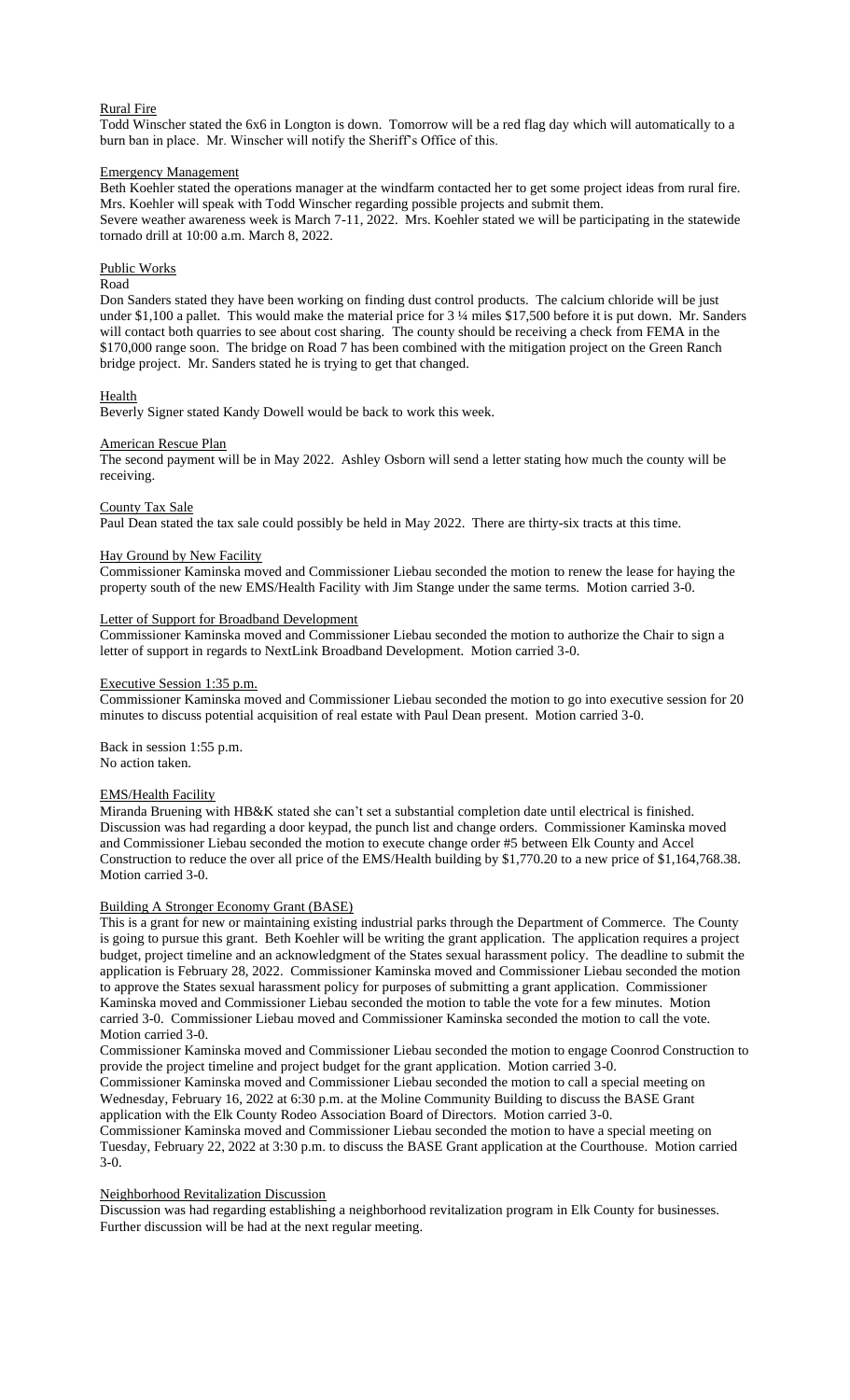## Rural Fire

Todd Winscher stated the 6x6 in Longton is down. Tomorrow will be a red flag day which will automatically to a burn ban in place. Mr. Winscher will notify the Sheriff's Office of this.

#### Emergency Management

Beth Koehler stated the operations manager at the windfarm contacted her to get some project ideas from rural fire. Mrs. Koehler will speak with Todd Winscher regarding possible projects and submit them. Severe weather awareness week is March 7-11, 2022. Mrs. Koehler stated we will be participating in the statewide tornado drill at 10:00 a.m. March 8, 2022.

## Public Works

## Road

Don Sanders stated they have been working on finding dust control products. The calcium chloride will be just under \$1,100 a pallet. This would make the material price for 3 ¼ miles \$17,500 before it is put down. Mr. Sanders will contact both quarries to see about cost sharing. The county should be receiving a check from FEMA in the \$170,000 range soon. The bridge on Road 7 has been combined with the mitigation project on the Green Ranch bridge project. Mr. Sanders stated he is trying to get that changed.

## **Health**

Beverly Signer stated Kandy Dowell would be back to work this week.

#### American Rescue Plan

The second payment will be in May 2022. Ashley Osborn will send a letter stating how much the county will be receiving.

## County Tax Sale

Paul Dean stated the tax sale could possibly be held in May 2022. There are thirty-six tracts at this time.

#### Hay Ground by New Facility

Commissioner Kaminska moved and Commissioner Liebau seconded the motion to renew the lease for haying the property south of the new EMS/Health Facility with Jim Stange under the same terms. Motion carried 3-0.

#### Letter of Support for Broadband Development

Commissioner Kaminska moved and Commissioner Liebau seconded the motion to authorize the Chair to sign a letter of support in regards to NextLink Broadband Development. Motion carried 3-0.

## Executive Session 1:35 p.m.

Commissioner Kaminska moved and Commissioner Liebau seconded the motion to go into executive session for 20 minutes to discuss potential acquisition of real estate with Paul Dean present. Motion carried 3-0.

Back in session 1:55 p.m. No action taken.

## EMS/Health Facility

Miranda Bruening with HB&K stated she can't set a substantial completion date until electrical is finished. Discussion was had regarding a door keypad, the punch list and change orders. Commissioner Kaminska moved and Commissioner Liebau seconded the motion to execute change order #5 between Elk County and Accel Construction to reduce the over all price of the EMS/Health building by \$1,770.20 to a new price of \$1,164,768.38. Motion carried 3-0.

#### Building A Stronger Economy Grant (BASE)

This is a grant for new or maintaining existing industrial parks through the Department of Commerce. The County is going to pursue this grant. Beth Koehler will be writing the grant application. The application requires a project budget, project timeline and an acknowledgment of the States sexual harassment policy. The deadline to submit the application is February 28, 2022. Commissioner Kaminska moved and Commissioner Liebau seconded the motion to approve the States sexual harassment policy for purposes of submitting a grant application. Commissioner Kaminska moved and Commissioner Liebau seconded the motion to table the vote for a few minutes. Motion carried 3-0. Commissioner Liebau moved and Commissioner Kaminska seconded the motion to call the vote. Motion carried 3-0.

Commissioner Kaminska moved and Commissioner Liebau seconded the motion to engage Coonrod Construction to provide the project timeline and project budget for the grant application. Motion carried 3-0.

Commissioner Kaminska moved and Commissioner Liebau seconded the motion to call a special meeting on Wednesday, February 16, 2022 at 6:30 p.m. at the Moline Community Building to discuss the BASE Grant application with the Elk County Rodeo Association Board of Directors. Motion carried 3-0.

Commissioner Kaminska moved and Commissioner Liebau seconded the motion to have a special meeting on Tuesday, February 22, 2022 at 3:30 p.m. to discuss the BASE Grant application at the Courthouse. Motion carried 3-0.

## Neighborhood Revitalization Discussion

Discussion was had regarding establishing a neighborhood revitalization program in Elk County for businesses. Further discussion will be had at the next regular meeting.